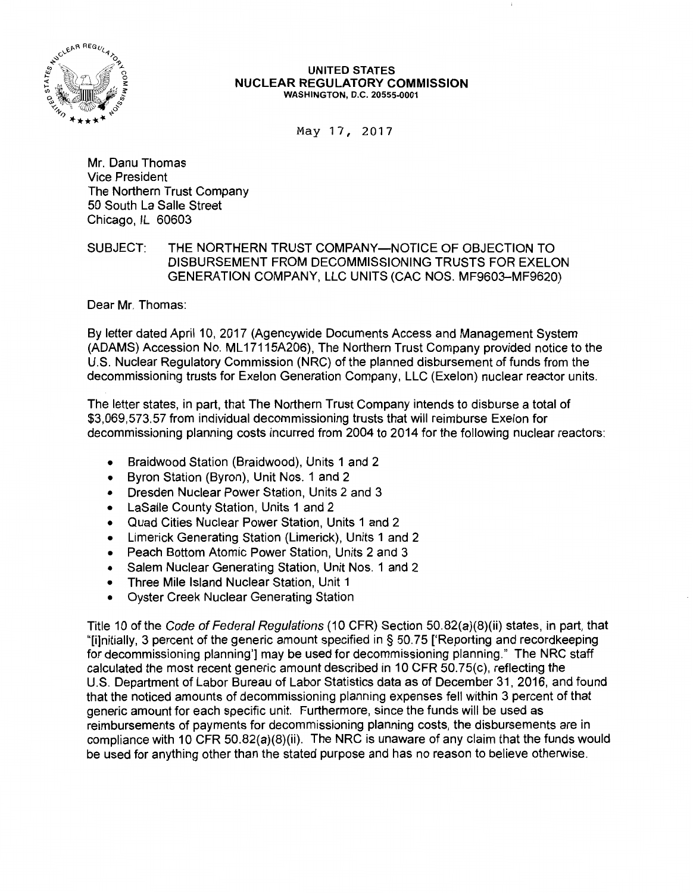

#### UNITED STATES NUCLEAR REGULATORY COMMISSION WASHINGTON, D.C. 20555-0001

May 17, 2017

Mr. Danu Thomas Vice President The Northern Trust Company 50 South La Salle Street Chicago, IL 60603

SUBJECT: THE NORTHERN TRUST COMPANY-NOTICE OF OBJECTION TO DISBURSEMENT FROM DECOMMISSIONING TRUSTS FOR EXELON GENERATION COMPANY, LLC UNITS (CAC NOS. MF9603-MF9620)

Dear Mr. Thomas:

By letter dated April 10, 2017 (Agencywide Documents Access and Management System (ADAMS) Accession No. ML 17115A206), The Northern Trust Company provided notice to the U.S. Nuclear Regulatory Commission (NRC) of the planned disbursement of funds from the decommissioning trusts for Exelon Generation Company, LLC (Exelon) nuclear reactor units.

The letter states, in part, that The Northern Trust Company intends to disburse a total of \$3,069,573.57 from individual decommissioning trusts that will reimburse Exelon for decommissioning planning costs incurred from 2004 to 2014 for the following nuclear reactors:

- Braidwood Station (Braidwood), Units 1 and 2
- Byron Station (Byron), Unit Nos. 1 and 2
- Dresden Nuclear Power Station, Units 2 and 3
- LaSalle County Station, Units 1 and 2
- Quad Cities Nuclear Power Station, Units 1 and 2
- Limerick Generating Station (Limerick), Units 1 and 2
- Peach Bottom Atomic Power Station, Units 2 and 3
- Salem Nuclear Generating Station, Unit Nos. 1 and 2
- Three Mile Island Nuclear Station, Unit 1
- Oyster Creek Nuclear Generating Station

Title 10 of the Code of Federal Regulations (10 CFR) Section 50.82(a)(8)(ii) states, in part, that "[i]nitially, 3 percent of the generic amount specified in § 50. 75 ['Reporting and recordkeeping for decommissioning planning'] may be used for decommissioning planning." The NRC staff calculated the most recent generic amount described in 10 CFR 50.75(c), reflecting the U.S. Department of Labor Bureau of Labor Statistics data as of December 31, 2016, and found that the noticed amounts of decommissioning planning expenses fell within 3 percent of that generic amount for each specific unit. Furthermore, since the funds will be used as reimbursements of payments for decommissioning planning costs, the disbursements are in compliance with 10 CFR 50.82(a)(8)(ii). The NRC is unaware of any claim that the funds would be used for anything other than the stated purpose and has no reason to believe otherwise.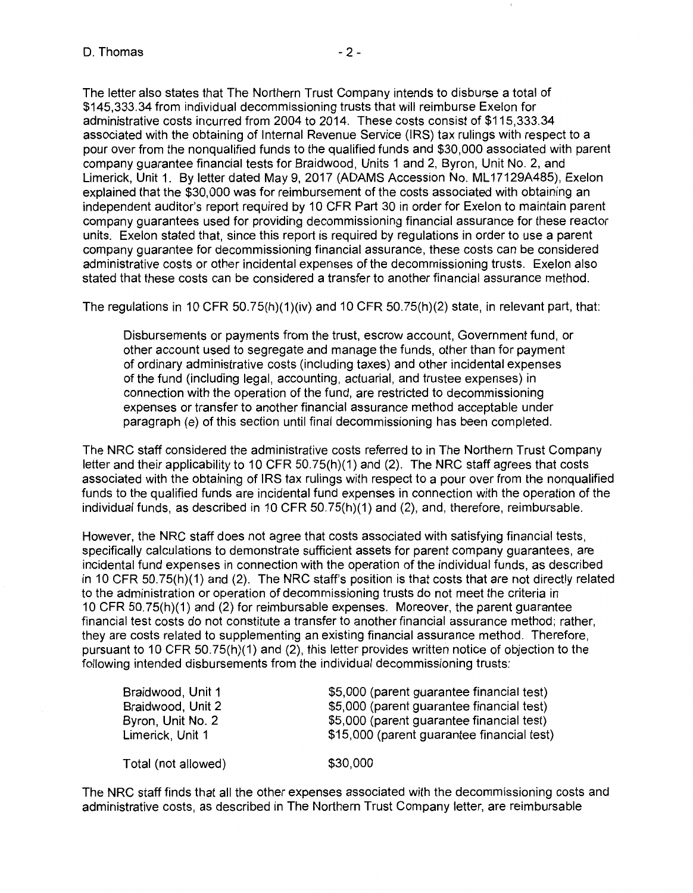The letter also states that The Northern Trust Company intends to disburse a total of \$145,333.34 from individual decommissioning trusts that will reimburse Exelon for administrative costs incurred from 2004 to 2014. These costs consist of \$115,333.34 associated with the obtaining of Internal Revenue Service (IRS) tax rulings with respect to a pour over from the nonqualified funds to the qualified funds and \$30,000 associated with parent company guarantee financial tests for Braidwood, Units 1 and 2, Byron, Unit No. 2, and Limerick, Unit 1. By letter dated May 9, 2017 (ADAMS Accession No. ML17129A485), Exelon explained that the \$30,000 was for reimbursement of the costs associated with obtaining an independent auditor's report required by 10 CFR Part 30 in order for Exelon to maintain parent company guarantees used for providing decommissioning financial assurance for these reactor units. Exelon stated that, since this report is required by regulations in order to use a parent company guarantee for decommissioning financial assurance, these costs can be considered administrative costs or other incidental expenses of the decommissioning trusts. Exelon also stated that these costs can be considered a transfer to another financial assurance method.

The regulations in 10 CFR 50.75(h)(1)(iv) and 10 CFR 50.75(h)(2) state, in relevant part, that:

Disbursements or payments from the trust, escrow account, Government fund, or other account used to segregate and manage the funds, other than for payment of ordinary administrative costs (including taxes) and other incidental expenses of the fund (including legal, accounting, actuarial, and trustee expenses) in connection with the operation of the fund, are restricted to decommissioning expenses or transfer to another financial assurance method acceptable under paragraph (e) of this section until final decommissioning has been completed.

The NRC staff considered the administrative costs referred to in The Northern Trust Company letter and their applicability to 10 CFR 50.75(h)(1) and (2). The NRC staff agrees that costs associated with the obtaining of IRS tax rulings with respect to a pour over from the nonqualified funds to the qualified funds are incidental fund expenses in connection with the operation of the individual funds, as described in 10 CFR 50.75(h)(1) and (2), and, therefore, reimbursable.

However, the NRC staff does not agree that costs associated with satisfying financial tests, specifically calculations to demonstrate sufficient assets for parent company guarantees, are incidental fund expenses in connection with the operation of the individual funds, as described in 10 CFR 50.75(h)(1) and (2). The NRC staff's position is that costs that are not directly related to the administration or operation of decommissioning trusts do not meet the criteria in 10 CFR 50. 75(h)(1) and (2) for reimbursable expenses. Moreover, the parent guarantee financial test costs do not constitute a transfer to another financial assurance method; rather, they are costs related to supplementing an existing financial assurance method. Therefore, pursuant to 10 CFR 50.75(h)(1) and (2), this letter provides written notice of objection to the following intended disbursements from the individual decommissioning trusts:

| Braidwood, Unit 1   | \$5,000 (parent guarantee financial test)  |
|---------------------|--------------------------------------------|
| Braidwood, Unit 2   | \$5,000 (parent guarantee financial test)  |
| Byron, Unit No. 2   | \$5,000 (parent guarantee financial test)  |
| Limerick, Unit 1    | \$15,000 (parent guarantee financial test) |
|                     |                                            |
| Total (not allowed) | \$30,000                                   |

The NRC staff finds that all the other expenses associated with the decommissioning costs and administrative costs, as described in The Northern Trust Company letter, are reimbursable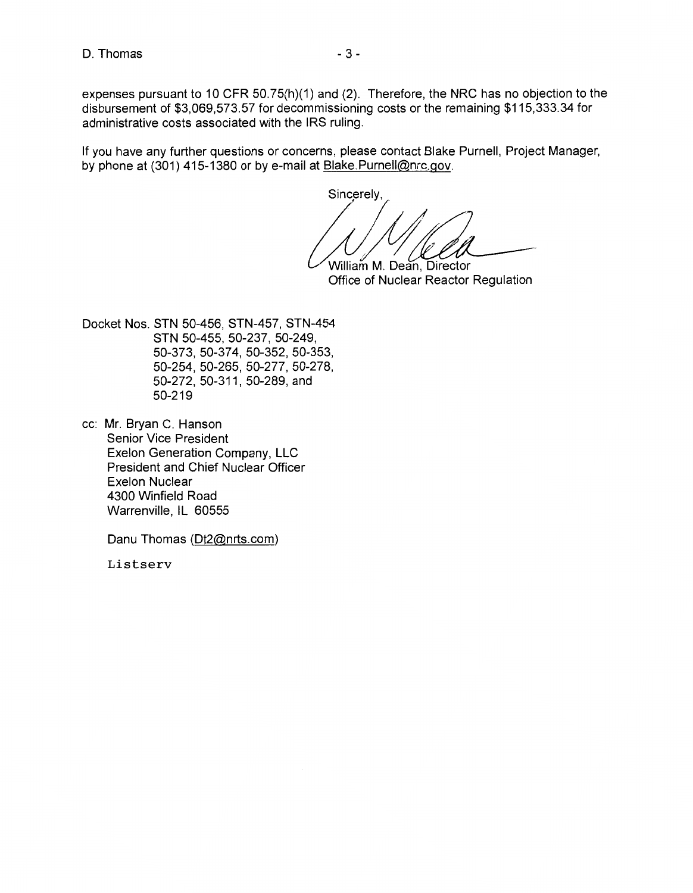expenses pursuant to 10 CFR 50.75(h)(1) and (2). Therefore, the NRC has no objection to the disbursement of \$3,069,573.57 for decommissioning costs or the remaining \$115,333.34 for administrative costs associated with the IRS ruling.

If you have any further questions or concerns, please contact Blake Purnell, Project Manager, by phone at (301) 415-1380 or by e-mail at Blake.Purnell@nrc.gov.

Sincerely,  $\frac{1}{\sqrt{4\pi}}$ 

William M. Dean, Director Office of Nuclear Reactor Regulation

Docket Nos. STN 50-456, STN-457, STN-454 STN 50-455, 50-237, 50-249, 50-373, 50-374, 50-352, 50-353, 50-254, 50-265, 50-277, 50-278, 50-272, 50-311, 50-289, and 50-219

cc: Mr. Bryan C. Hanson Senior Vice President Exelon Generation Company, LLC President and Chief Nuclear Officer Exelon Nuclear 4300 Winfield Road Warrenville, IL 60555

Danu Thomas (Dt2@nrts.com)

Listserv